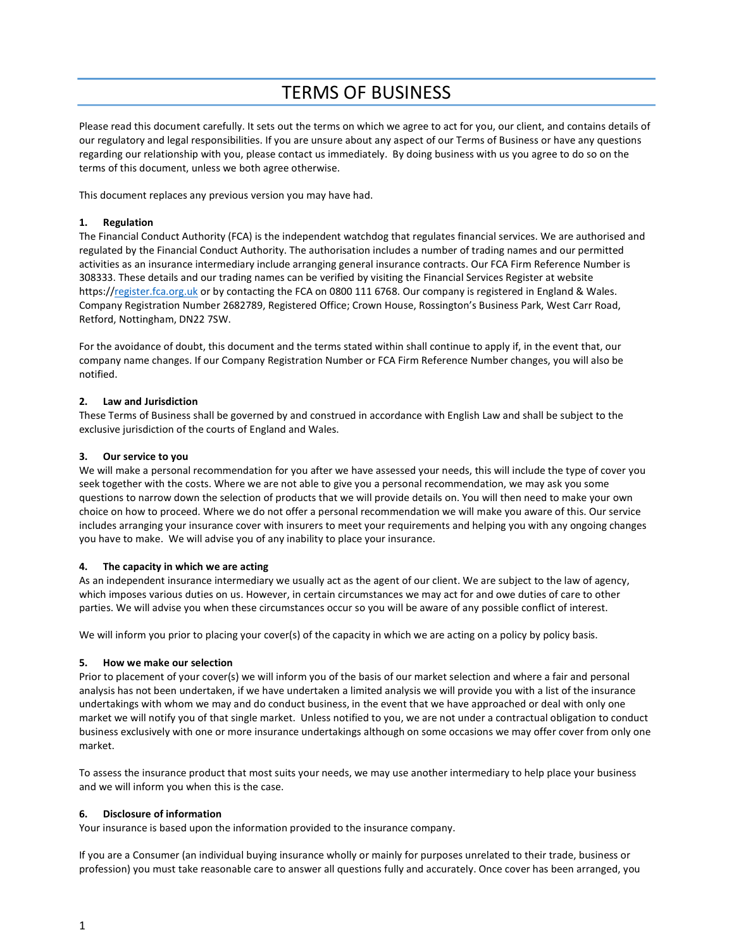# TERMS OF BUSINESS

Please read this document carefully. It sets out the terms on which we agree to act for you, our client, and contains details of our regulatory and legal responsibilities. If you are unsure about any aspect of our Terms of Business or have any questions regarding our relationship with you, please contact us immediately. By doing business with us you agree to do so on the terms of this document, unless we both agree otherwise.

This document replaces any previous version you may have had.

## 1. Regulation

The Financial Conduct Authority (FCA) is the independent watchdog that regulates financial services. We are authorised and regulated by the Financial Conduct Authority. The authorisation includes a number of trading names and our permitted activities as an insurance intermediary include arranging general insurance contracts. Our FCA Firm Reference Number is 308333. These details and our trading names can be verified by visiting the Financial Services Register at website https://register.fca.org.uk or by contacting the FCA on 0800 111 6768. Our company is registered in England & Wales. Company Registration Number 2682789, Registered Office; Crown House, Rossington's Business Park, West Carr Road, Retford, Nottingham, DN22 7SW.

For the avoidance of doubt, this document and the terms stated within shall continue to apply if, in the event that, our company name changes. If our Company Registration Number or FCA Firm Reference Number changes, you will also be notified.

## 2. Law and Jurisdiction

These Terms of Business shall be governed by and construed in accordance with English Law and shall be subject to the exclusive jurisdiction of the courts of England and Wales.

#### 3. Our service to you

We will make a personal recommendation for you after we have assessed your needs, this will include the type of cover you seek together with the costs. Where we are not able to give you a personal recommendation, we may ask you some questions to narrow down the selection of products that we will provide details on. You will then need to make your own choice on how to proceed. Where we do not offer a personal recommendation we will make you aware of this. Our service includes arranging your insurance cover with insurers to meet your requirements and helping you with any ongoing changes you have to make. We will advise you of any inability to place your insurance.

#### 4. The capacity in which we are acting

As an independent insurance intermediary we usually act as the agent of our client. We are subject to the law of agency, which imposes various duties on us. However, in certain circumstances we may act for and owe duties of care to other parties. We will advise you when these circumstances occur so you will be aware of any possible conflict of interest.

We will inform you prior to placing your cover(s) of the capacity in which we are acting on a policy by policy basis.

#### 5. How we make our selection

Prior to placement of your cover(s) we will inform you of the basis of our market selection and where a fair and personal analysis has not been undertaken, if we have undertaken a limited analysis we will provide you with a list of the insurance undertakings with whom we may and do conduct business, in the event that we have approached or deal with only one market we will notify you of that single market. Unless notified to you, we are not under a contractual obligation to conduct business exclusively with one or more insurance undertakings although on some occasions we may offer cover from only one market.

To assess the insurance product that most suits your needs, we may use another intermediary to help place your business and we will inform you when this is the case.

#### 6. Disclosure of information

Your insurance is based upon the information provided to the insurance company.

If you are a Consumer (an individual buying insurance wholly or mainly for purposes unrelated to their trade, business or profession) you must take reasonable care to answer all questions fully and accurately. Once cover has been arranged, you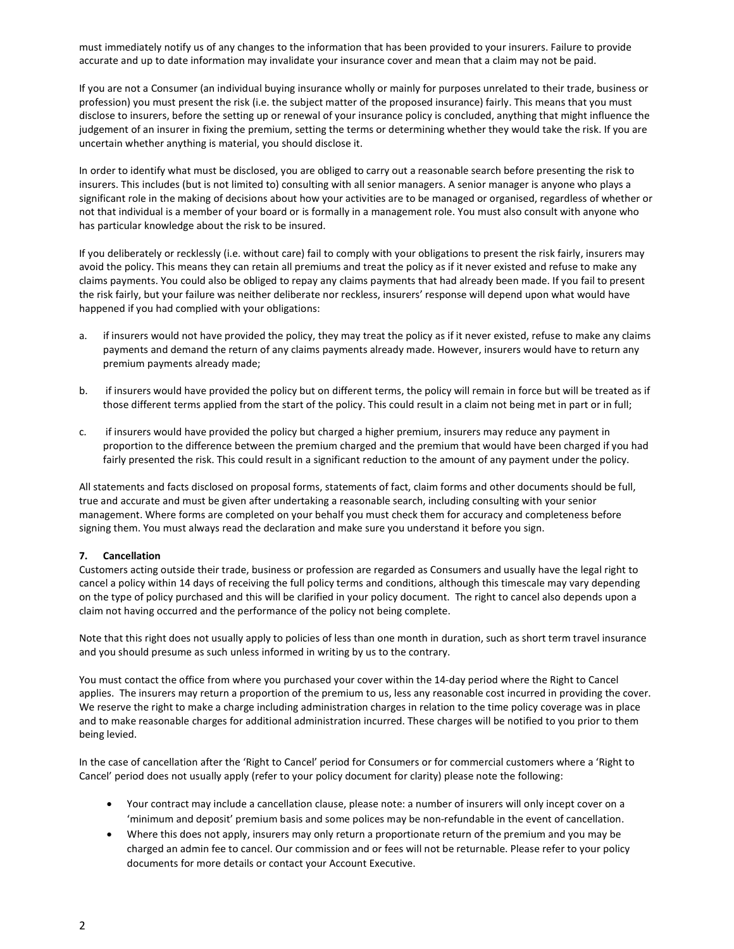must immediately notify us of any changes to the information that has been provided to your insurers. Failure to provide accurate and up to date information may invalidate your insurance cover and mean that a claim may not be paid.

If you are not a Consumer (an individual buying insurance wholly or mainly for purposes unrelated to their trade, business or profession) you must present the risk (i.e. the subject matter of the proposed insurance) fairly. This means that you must disclose to insurers, before the setting up or renewal of your insurance policy is concluded, anything that might influence the judgement of an insurer in fixing the premium, setting the terms or determining whether they would take the risk. If you are uncertain whether anything is material, you should disclose it.

In order to identify what must be disclosed, you are obliged to carry out a reasonable search before presenting the risk to insurers. This includes (but is not limited to) consulting with all senior managers. A senior manager is anyone who plays a significant role in the making of decisions about how your activities are to be managed or organised, regardless of whether or not that individual is a member of your board or is formally in a management role. You must also consult with anyone who has particular knowledge about the risk to be insured.

If you deliberately or recklessly (i.e. without care) fail to comply with your obligations to present the risk fairly, insurers may avoid the policy. This means they can retain all premiums and treat the policy as if it never existed and refuse to make any claims payments. You could also be obliged to repay any claims payments that had already been made. If you fail to present the risk fairly, but your failure was neither deliberate nor reckless, insurers' response will depend upon what would have happened if you had complied with your obligations:

- a. if insurers would not have provided the policy, they may treat the policy as if it never existed, refuse to make any claims payments and demand the return of any claims payments already made. However, insurers would have to return any premium payments already made;
- b. if insurers would have provided the policy but on different terms, the policy will remain in force but will be treated as if those different terms applied from the start of the policy. This could result in a claim not being met in part or in full;
- c. if insurers would have provided the policy but charged a higher premium, insurers may reduce any payment in proportion to the difference between the premium charged and the premium that would have been charged if you had fairly presented the risk. This could result in a significant reduction to the amount of any payment under the policy.

All statements and facts disclosed on proposal forms, statements of fact, claim forms and other documents should be full, true and accurate and must be given after undertaking a reasonable search, including consulting with your senior management. Where forms are completed on your behalf you must check them for accuracy and completeness before signing them. You must always read the declaration and make sure you understand it before you sign.

# 7. Cancellation

Customers acting outside their trade, business or profession are regarded as Consumers and usually have the legal right to cancel a policy within 14 days of receiving the full policy terms and conditions, although this timescale may vary depending on the type of policy purchased and this will be clarified in your policy document. The right to cancel also depends upon a claim not having occurred and the performance of the policy not being complete.

Note that this right does not usually apply to policies of less than one month in duration, such as short term travel insurance and you should presume as such unless informed in writing by us to the contrary.

You must contact the office from where you purchased your cover within the 14-day period where the Right to Cancel applies. The insurers may return a proportion of the premium to us, less any reasonable cost incurred in providing the cover. We reserve the right to make a charge including administration charges in relation to the time policy coverage was in place and to make reasonable charges for additional administration incurred. These charges will be notified to you prior to them being levied.

In the case of cancellation after the 'Right to Cancel' period for Consumers or for commercial customers where a 'Right to Cancel' period does not usually apply (refer to your policy document for clarity) please note the following:

- Your contract may include a cancellation clause, please note: a number of insurers will only incept cover on a 'minimum and deposit' premium basis and some polices may be non-refundable in the event of cancellation.
- Where this does not apply, insurers may only return a proportionate return of the premium and you may be charged an admin fee to cancel. Our commission and or fees will not be returnable. Please refer to your policy documents for more details or contact your Account Executive.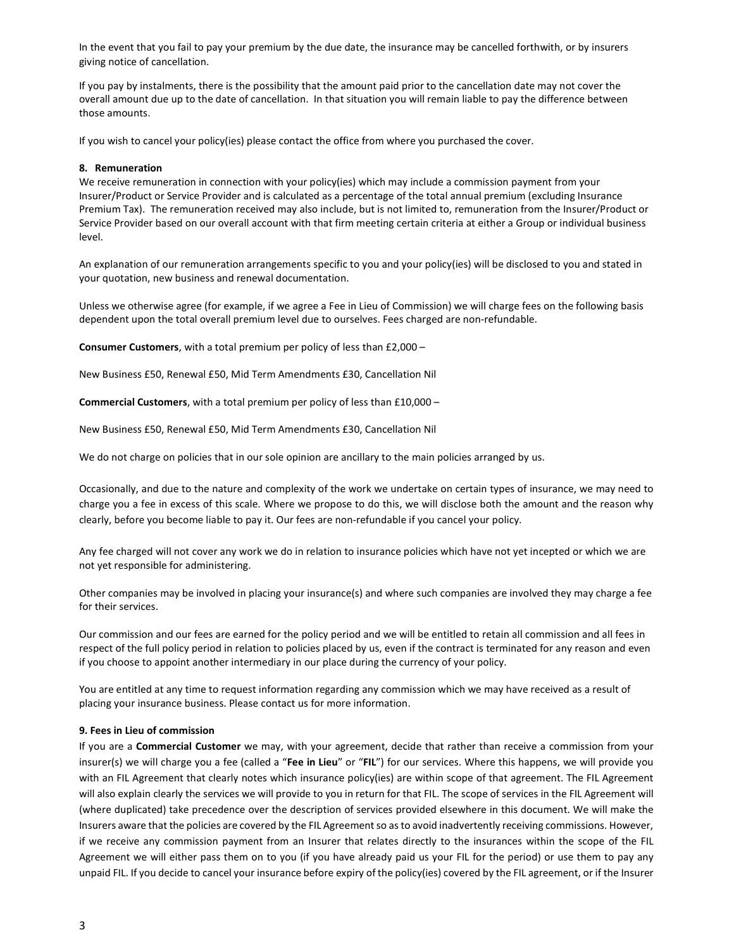In the event that you fail to pay your premium by the due date, the insurance may be cancelled forthwith, or by insurers giving notice of cancellation.

If you pay by instalments, there is the possibility that the amount paid prior to the cancellation date may not cover the overall amount due up to the date of cancellation. In that situation you will remain liable to pay the difference between those amounts.

If you wish to cancel your policy(ies) please contact the office from where you purchased the cover.

### 8. Remuneration

We receive remuneration in connection with your policy(ies) which may include a commission payment from your Insurer/Product or Service Provider and is calculated as a percentage of the total annual premium (excluding Insurance Premium Tax). The remuneration received may also include, but is not limited to, remuneration from the Insurer/Product or Service Provider based on our overall account with that firm meeting certain criteria at either a Group or individual business level.

An explanation of our remuneration arrangements specific to you and your policy(ies) will be disclosed to you and stated in your quotation, new business and renewal documentation.

Unless we otherwise agree (for example, if we agree a Fee in Lieu of Commission) we will charge fees on the following basis dependent upon the total overall premium level due to ourselves. Fees charged are non-refundable.

Consumer Customers, with a total premium per policy of less than £2,000 –

New Business £50, Renewal £50, Mid Term Amendments £30, Cancellation Nil

Commercial Customers, with a total premium per policy of less than £10,000 –

New Business £50, Renewal £50, Mid Term Amendments £30, Cancellation Nil

We do not charge on policies that in our sole opinion are ancillary to the main policies arranged by us.

Occasionally, and due to the nature and complexity of the work we undertake on certain types of insurance, we may need to charge you a fee in excess of this scale. Where we propose to do this, we will disclose both the amount and the reason why clearly, before you become liable to pay it. Our fees are non-refundable if you cancel your policy.

Any fee charged will not cover any work we do in relation to insurance policies which have not yet incepted or which we are not yet responsible for administering.

Other companies may be involved in placing your insurance(s) and where such companies are involved they may charge a fee for their services.

Our commission and our fees are earned for the policy period and we will be entitled to retain all commission and all fees in respect of the full policy period in relation to policies placed by us, even if the contract is terminated for any reason and even if you choose to appoint another intermediary in our place during the currency of your policy.

You are entitled at any time to request information regarding any commission which we may have received as a result of placing your insurance business. Please contact us for more information.

## 9. Fees in Lieu of commission

If you are a Commercial Customer we may, with your agreement, decide that rather than receive a commission from your insurer(s) we will charge you a fee (called a "Fee in Lieu" or "FIL") for our services. Where this happens, we will provide you with an FIL Agreement that clearly notes which insurance policy(ies) are within scope of that agreement. The FIL Agreement will also explain clearly the services we will provide to you in return for that FIL. The scope of services in the FIL Agreement will (where duplicated) take precedence over the description of services provided elsewhere in this document. We will make the Insurers aware that the policies are covered by the FIL Agreement so as to avoid inadvertently receiving commissions. However, if we receive any commission payment from an Insurer that relates directly to the insurances within the scope of the FIL Agreement we will either pass them on to you (if you have already paid us your FIL for the period) or use them to pay any unpaid FIL. If you decide to cancel your insurance before expiry of the policy(ies) covered by the FIL agreement, or if the Insurer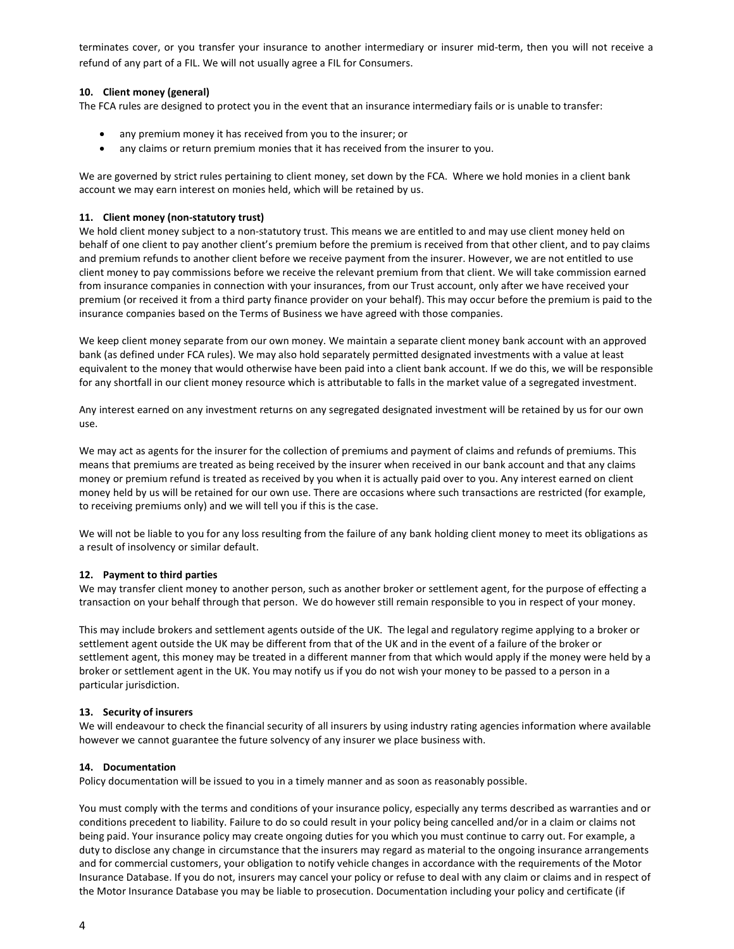terminates cover, or you transfer your insurance to another intermediary or insurer mid-term, then you will not receive a refund of any part of a FIL. We will not usually agree a FIL for Consumers.

## 10. Client money (general)

The FCA rules are designed to protect you in the event that an insurance intermediary fails or is unable to transfer:

- any premium money it has received from you to the insurer; or
- any claims or return premium monies that it has received from the insurer to you.

We are governed by strict rules pertaining to client money, set down by the FCA. Where we hold monies in a client bank account we may earn interest on monies held, which will be retained by us.

## 11. Client money (non-statutory trust)

We hold client money subject to a non-statutory trust. This means we are entitled to and may use client money held on behalf of one client to pay another client's premium before the premium is received from that other client, and to pay claims and premium refunds to another client before we receive payment from the insurer. However, we are not entitled to use client money to pay commissions before we receive the relevant premium from that client. We will take commission earned from insurance companies in connection with your insurances, from our Trust account, only after we have received your premium (or received it from a third party finance provider on your behalf). This may occur before the premium is paid to the insurance companies based on the Terms of Business we have agreed with those companies.

We keep client money separate from our own money. We maintain a separate client money bank account with an approved bank (as defined under FCA rules). We may also hold separately permitted designated investments with a value at least equivalent to the money that would otherwise have been paid into a client bank account. If we do this, we will be responsible for any shortfall in our client money resource which is attributable to falls in the market value of a segregated investment.

Any interest earned on any investment returns on any segregated designated investment will be retained by us for our own use.

We may act as agents for the insurer for the collection of premiums and payment of claims and refunds of premiums. This means that premiums are treated as being received by the insurer when received in our bank account and that any claims money or premium refund is treated as received by you when it is actually paid over to you. Any interest earned on client money held by us will be retained for our own use. There are occasions where such transactions are restricted (for example, to receiving premiums only) and we will tell you if this is the case.

We will not be liable to you for any loss resulting from the failure of any bank holding client money to meet its obligations as a result of insolvency or similar default.

## 12. Payment to third parties

We may transfer client money to another person, such as another broker or settlement agent, for the purpose of effecting a transaction on your behalf through that person. We do however still remain responsible to you in respect of your money.

This may include brokers and settlement agents outside of the UK. The legal and regulatory regime applying to a broker or settlement agent outside the UK may be different from that of the UK and in the event of a failure of the broker or settlement agent, this money may be treated in a different manner from that which would apply if the money were held by a broker or settlement agent in the UK. You may notify us if you do not wish your money to be passed to a person in a particular jurisdiction.

## 13. Security of insurers

We will endeavour to check the financial security of all insurers by using industry rating agencies information where available however we cannot guarantee the future solvency of any insurer we place business with.

## 14. Documentation

Policy documentation will be issued to you in a timely manner and as soon as reasonably possible.

You must comply with the terms and conditions of your insurance policy, especially any terms described as warranties and or conditions precedent to liability. Failure to do so could result in your policy being cancelled and/or in a claim or claims not being paid. Your insurance policy may create ongoing duties for you which you must continue to carry out. For example, a duty to disclose any change in circumstance that the insurers may regard as material to the ongoing insurance arrangements and for commercial customers, your obligation to notify vehicle changes in accordance with the requirements of the Motor Insurance Database. If you do not, insurers may cancel your policy or refuse to deal with any claim or claims and in respect of the Motor Insurance Database you may be liable to prosecution. Documentation including your policy and certificate (if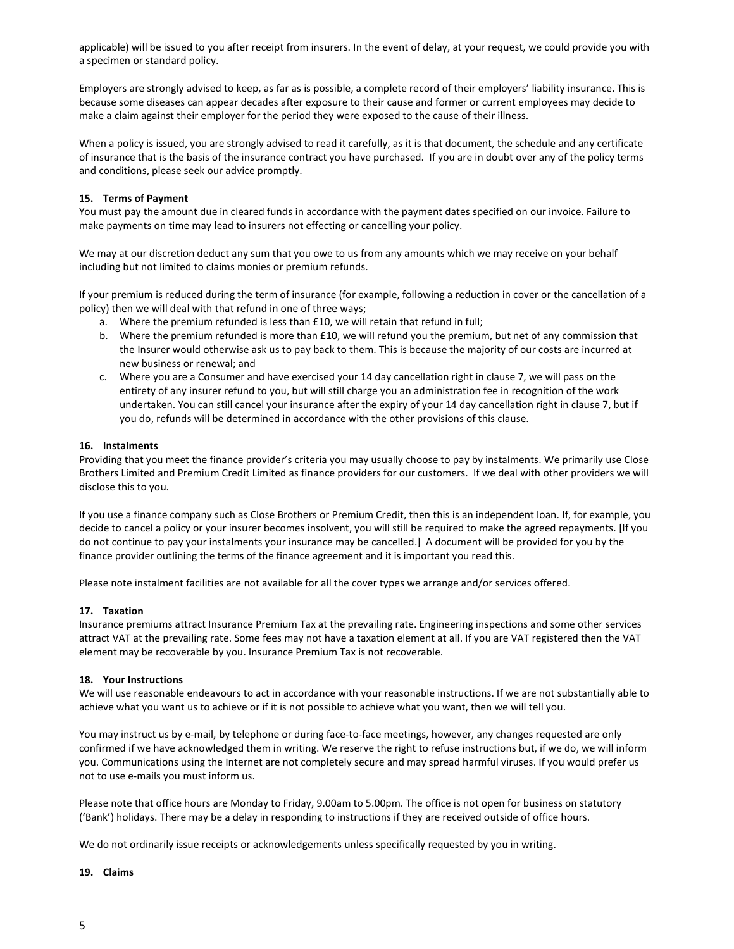applicable) will be issued to you after receipt from insurers. In the event of delay, at your request, we could provide you with a specimen or standard policy.

Employers are strongly advised to keep, as far as is possible, a complete record of their employers' liability insurance. This is because some diseases can appear decades after exposure to their cause and former or current employees may decide to make a claim against their employer for the period they were exposed to the cause of their illness.

When a policy is issued, you are strongly advised to read it carefully, as it is that document, the schedule and any certificate of insurance that is the basis of the insurance contract you have purchased. If you are in doubt over any of the policy terms and conditions, please seek our advice promptly.

## 15. Terms of Payment

You must pay the amount due in cleared funds in accordance with the payment dates specified on our invoice. Failure to make payments on time may lead to insurers not effecting or cancelling your policy.

We may at our discretion deduct any sum that you owe to us from any amounts which we may receive on your behalf including but not limited to claims monies or premium refunds.

If your premium is reduced during the term of insurance (for example, following a reduction in cover or the cancellation of a policy) then we will deal with that refund in one of three ways;

- a. Where the premium refunded is less than £10, we will retain that refund in full;
- b. Where the premium refunded is more than £10, we will refund you the premium, but net of any commission that the Insurer would otherwise ask us to pay back to them. This is because the majority of our costs are incurred at new business or renewal; and
- c. Where you are a Consumer and have exercised your 14 day cancellation right in clause 7, we will pass on the entirety of any insurer refund to you, but will still charge you an administration fee in recognition of the work undertaken. You can still cancel your insurance after the expiry of your 14 day cancellation right in clause 7, but if you do, refunds will be determined in accordance with the other provisions of this clause.

## 16. Instalments

Providing that you meet the finance provider's criteria you may usually choose to pay by instalments. We primarily use Close Brothers Limited and Premium Credit Limited as finance providers for our customers. If we deal with other providers we will disclose this to you.

If you use a finance company such as Close Brothers or Premium Credit, then this is an independent loan. If, for example, you decide to cancel a policy or your insurer becomes insolvent, you will still be required to make the agreed repayments. [If you do not continue to pay your instalments your insurance may be cancelled.] A document will be provided for you by the finance provider outlining the terms of the finance agreement and it is important you read this.

Please note instalment facilities are not available for all the cover types we arrange and/or services offered.

## 17. Taxation

Insurance premiums attract Insurance Premium Tax at the prevailing rate. Engineering inspections and some other services attract VAT at the prevailing rate. Some fees may not have a taxation element at all. If you are VAT registered then the VAT element may be recoverable by you. Insurance Premium Tax is not recoverable.

## 18. Your Instructions

We will use reasonable endeavours to act in accordance with your reasonable instructions. If we are not substantially able to achieve what you want us to achieve or if it is not possible to achieve what you want, then we will tell you.

You may instruct us by e-mail, by telephone or during face-to-face meetings, however, any changes requested are only confirmed if we have acknowledged them in writing. We reserve the right to refuse instructions but, if we do, we will inform you. Communications using the Internet are not completely secure and may spread harmful viruses. If you would prefer us not to use e-mails you must inform us.

Please note that office hours are Monday to Friday, 9.00am to 5.00pm. The office is not open for business on statutory ('Bank') holidays. There may be a delay in responding to instructions if they are received outside of office hours.

We do not ordinarily issue receipts or acknowledgements unless specifically requested by you in writing.

#### 19. Claims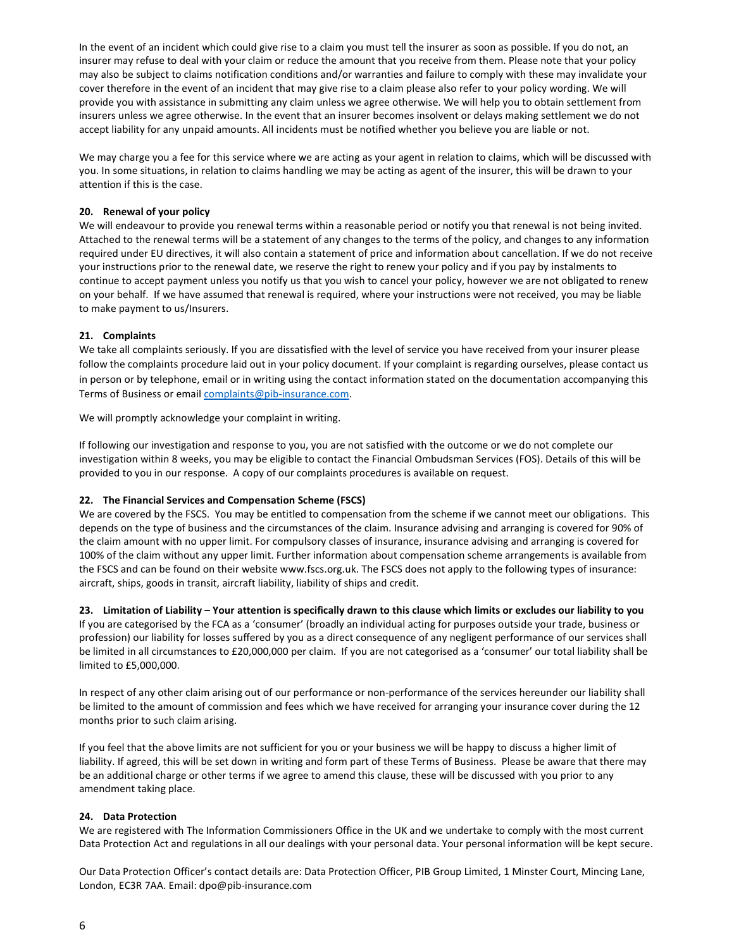In the event of an incident which could give rise to a claim you must tell the insurer as soon as possible. If you do not, an insurer may refuse to deal with your claim or reduce the amount that you receive from them. Please note that your policy may also be subject to claims notification conditions and/or warranties and failure to comply with these may invalidate your cover therefore in the event of an incident that may give rise to a claim please also refer to your policy wording. We will provide you with assistance in submitting any claim unless we agree otherwise. We will help you to obtain settlement from insurers unless we agree otherwise. In the event that an insurer becomes insolvent or delays making settlement we do not accept liability for any unpaid amounts. All incidents must be notified whether you believe you are liable or not.

We may charge you a fee for this service where we are acting as your agent in relation to claims, which will be discussed with you. In some situations, in relation to claims handling we may be acting as agent of the insurer, this will be drawn to your attention if this is the case.

# 20. Renewal of your policy

We will endeavour to provide you renewal terms within a reasonable period or notify you that renewal is not being invited. Attached to the renewal terms will be a statement of any changes to the terms of the policy, and changes to any information required under EU directives, it will also contain a statement of price and information about cancellation. If we do not receive your instructions prior to the renewal date, we reserve the right to renew your policy and if you pay by instalments to continue to accept payment unless you notify us that you wish to cancel your policy, however we are not obligated to renew on your behalf. If we have assumed that renewal is required, where your instructions were not received, you may be liable to make payment to us/Insurers.

## 21. Complaints

We take all complaints seriously. If you are dissatisfied with the level of service you have received from your insurer please follow the complaints procedure laid out in your policy document. If your complaint is regarding ourselves, please contact us in person or by telephone, email or in writing using the contact information stated on the documentation accompanying this Terms of Business or email **complaints@pib-insurance.com**.

We will promptly acknowledge your complaint in writing.

If following our investigation and response to you, you are not satisfied with the outcome or we do not complete our investigation within 8 weeks, you may be eligible to contact the Financial Ombudsman Services (FOS). Details of this will be provided to you in our response. A copy of our complaints procedures is available on request.

# 22. The Financial Services and Compensation Scheme (FSCS)

We are covered by the FSCS. You may be entitled to compensation from the scheme if we cannot meet our obligations. This depends on the type of business and the circumstances of the claim. Insurance advising and arranging is covered for 90% of the claim amount with no upper limit. For compulsory classes of insurance, insurance advising and arranging is covered for 100% of the claim without any upper limit. Further information about compensation scheme arrangements is available from the FSCS and can be found on their website www.fscs.org.uk. The FSCS does not apply to the following types of insurance: aircraft, ships, goods in transit, aircraft liability, liability of ships and credit.

23. Limitation of Liability – Your attention is specifically drawn to this clause which limits or excludes our liability to you If you are categorised by the FCA as a 'consumer' (broadly an individual acting for purposes outside your trade, business or profession) our liability for losses suffered by you as a direct consequence of any negligent performance of our services shall be limited in all circumstances to £20,000,000 per claim. If you are not categorised as a 'consumer' our total liability shall be limited to £5,000,000.

In respect of any other claim arising out of our performance or non-performance of the services hereunder our liability shall be limited to the amount of commission and fees which we have received for arranging your insurance cover during the 12 months prior to such claim arising.

If you feel that the above limits are not sufficient for you or your business we will be happy to discuss a higher limit of liability. If agreed, this will be set down in writing and form part of these Terms of Business. Please be aware that there may be an additional charge or other terms if we agree to amend this clause, these will be discussed with you prior to any amendment taking place.

## 24. Data Protection

We are registered with The Information Commissioners Office in the UK and we undertake to comply with the most current Data Protection Act and regulations in all our dealings with your personal data. Your personal information will be kept secure.

Our Data Protection Officer's contact details are: Data Protection Officer, PIB Group Limited, 1 Minster Court, Mincing Lane, London, EC3R 7AA. Email: dpo@pib-insurance.com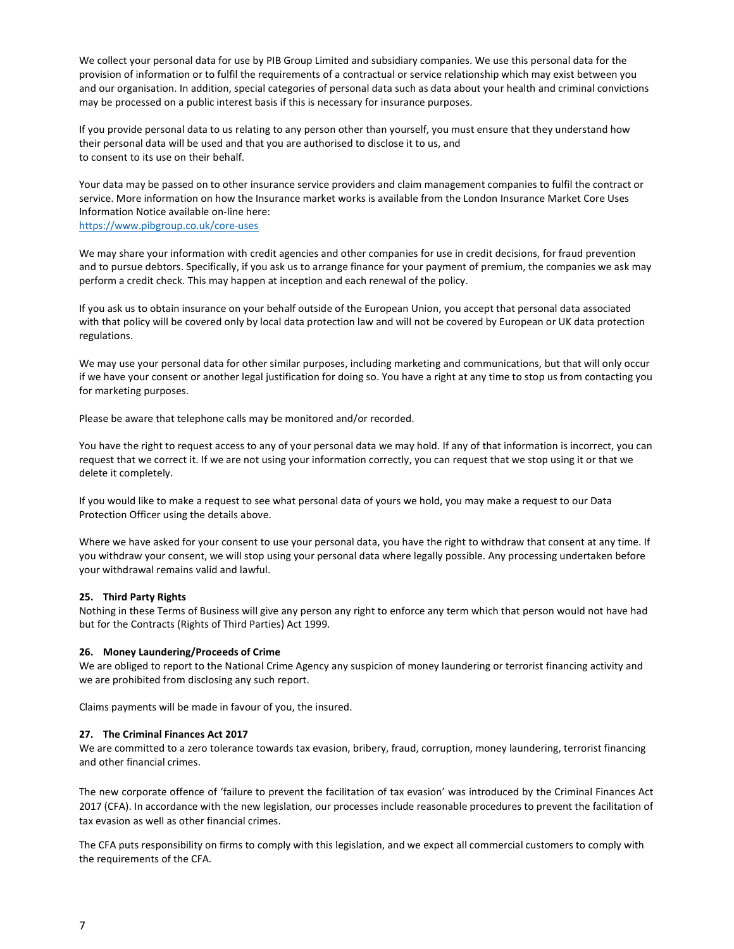We collect your personal data for use by PIB Group Limited and subsidiary companies. We use this personal data for the provision of information or to fulfil the requirements of a contractual or service relationship which may exist between you and our organisation. In addition, special categories of personal data such as data about your health and criminal convictions may be processed on a public interest basis if this is necessary for insurance purposes.

If you provide personal data to us relating to any person other than yourself, you must ensure that they understand how their personal data will be used and that you are authorised to disclose it to us, and to consent to its use on their behalf.

Your data may be passed on to other insurance service providers and claim management companies to fulfil the contract or service. More information on how the Insurance market works is available from the London Insurance Market Core Uses Information Notice available on-line here:

https://www.pibgroup.co.uk/core-uses

We may share your information with credit agencies and other companies for use in credit decisions, for fraud prevention and to pursue debtors. Specifically, if you ask us to arrange finance for your payment of premium, the companies we ask may perform a credit check. This may happen at inception and each renewal of the policy.

If you ask us to obtain insurance on your behalf outside of the European Union, you accept that personal data associated with that policy will be covered only by local data protection law and will not be covered by European or UK data protection regulations.

We may use your personal data for other similar purposes, including marketing and communications, but that will only occur if we have your consent or another legal justification for doing so. You have a right at any time to stop us from contacting you for marketing purposes.

Please be aware that telephone calls may be monitored and/or recorded.

You have the right to request access to any of your personal data we may hold. If any of that information is incorrect, you can request that we correct it. If we are not using your information correctly, you can request that we stop using it or that we delete it completely.

If you would like to make a request to see what personal data of yours we hold, you may make a request to our Data Protection Officer using the details above.

Where we have asked for your consent to use your personal data, you have the right to withdraw that consent at any time. If you withdraw your consent, we will stop using your personal data where legally possible. Any processing undertaken before your withdrawal remains valid and lawful.

# 25. Third Party Rights

Nothing in these Terms of Business will give any person any right to enforce any term which that person would not have had but for the Contracts (Rights of Third Parties) Act 1999.

# 26. Money Laundering/Proceeds of Crime

We are obliged to report to the National Crime Agency any suspicion of money laundering or terrorist financing activity and we are prohibited from disclosing any such report.

Claims payments will be made in favour of you, the insured.

## 27. The Criminal Finances Act 2017

We are committed to a zero tolerance towards tax evasion, bribery, fraud, corruption, money laundering, terrorist financing and other financial crimes.

The new corporate offence of 'failure to prevent the facilitation of tax evasion' was introduced by the Criminal Finances Act 2017 (CFA). In accordance with the new legislation, our processes include reasonable procedures to prevent the facilitation of tax evasion as well as other financial crimes.

The CFA puts responsibility on firms to comply with this legislation, and we expect all commercial customers to comply with the requirements of the CFA.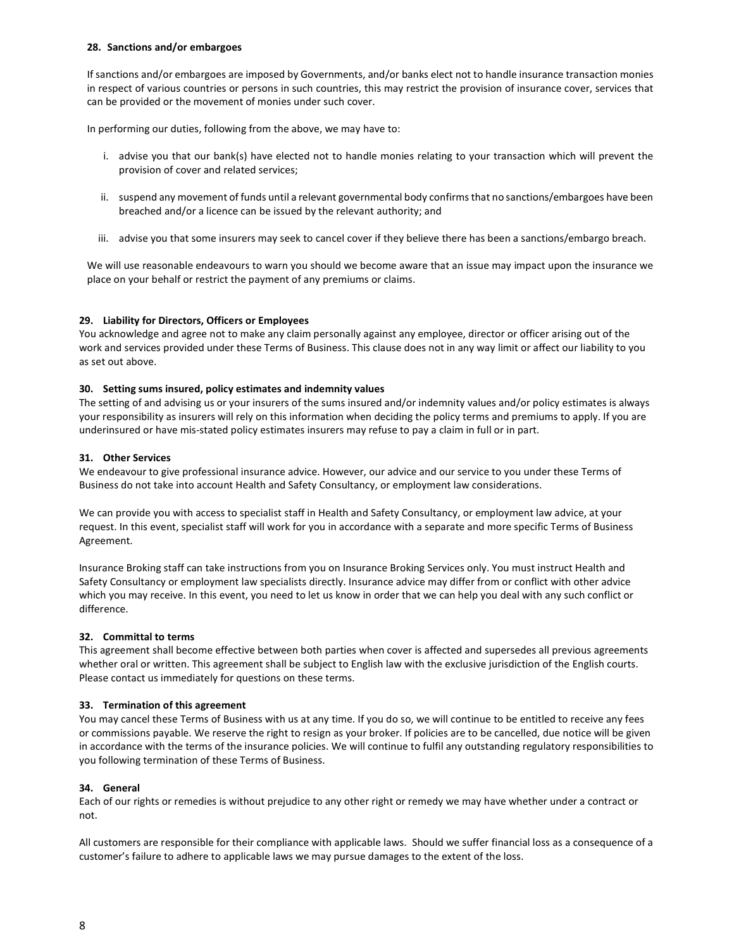### 28. Sanctions and/or embargoes

If sanctions and/or embargoes are imposed by Governments, and/or banks elect not to handle insurance transaction monies in respect of various countries or persons in such countries, this may restrict the provision of insurance cover, services that can be provided or the movement of monies under such cover.

In performing our duties, following from the above, we may have to:

- i. advise you that our bank(s) have elected not to handle monies relating to your transaction which will prevent the provision of cover and related services;
- ii. suspend any movement of funds until a relevant governmental body confirms that no sanctions/embargoes have been breached and/or a licence can be issued by the relevant authority; and
- iii. advise you that some insurers may seek to cancel cover if they believe there has been a sanctions/embargo breach.

We will use reasonable endeavours to warn you should we become aware that an issue may impact upon the insurance we place on your behalf or restrict the payment of any premiums or claims.

## 29. Liability for Directors, Officers or Employees

You acknowledge and agree not to make any claim personally against any employee, director or officer arising out of the work and services provided under these Terms of Business. This clause does not in any way limit or affect our liability to you as set out above.

#### 30. Setting sums insured, policy estimates and indemnity values

The setting of and advising us or your insurers of the sums insured and/or indemnity values and/or policy estimates is always your responsibility as insurers will rely on this information when deciding the policy terms and premiums to apply. If you are underinsured or have mis-stated policy estimates insurers may refuse to pay a claim in full or in part.

#### 31. Other Services

We endeavour to give professional insurance advice. However, our advice and our service to you under these Terms of Business do not take into account Health and Safety Consultancy, or employment law considerations.

We can provide you with access to specialist staff in Health and Safety Consultancy, or employment law advice, at your request. In this event, specialist staff will work for you in accordance with a separate and more specific Terms of Business Agreement.

Insurance Broking staff can take instructions from you on Insurance Broking Services only. You must instruct Health and Safety Consultancy or employment law specialists directly. Insurance advice may differ from or conflict with other advice which you may receive. In this event, you need to let us know in order that we can help you deal with any such conflict or difference.

## 32. Committal to terms

This agreement shall become effective between both parties when cover is affected and supersedes all previous agreements whether oral or written. This agreement shall be subject to English law with the exclusive jurisdiction of the English courts. Please contact us immediately for questions on these terms.

## 33. Termination of this agreement

You may cancel these Terms of Business with us at any time. If you do so, we will continue to be entitled to receive any fees or commissions payable. We reserve the right to resign as your broker. If policies are to be cancelled, due notice will be given in accordance with the terms of the insurance policies. We will continue to fulfil any outstanding regulatory responsibilities to you following termination of these Terms of Business.

#### 34. General

Each of our rights or remedies is without prejudice to any other right or remedy we may have whether under a contract or not.

All customers are responsible for their compliance with applicable laws. Should we suffer financial loss as a consequence of a customer's failure to adhere to applicable laws we may pursue damages to the extent of the loss.